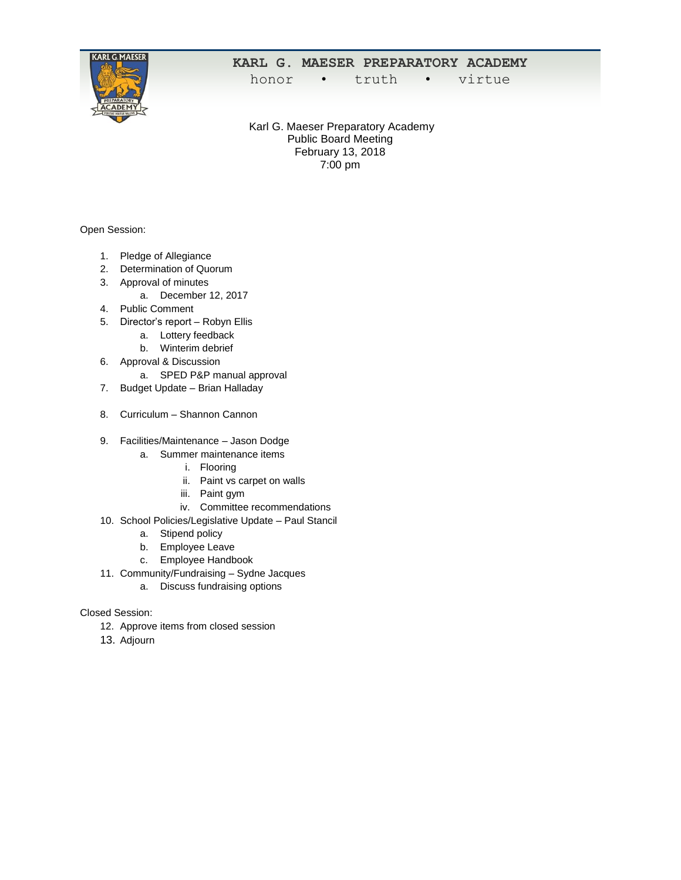

# **KARL G. MAESER PREPARATORY ACADEMY**

honor • truth • virtue

Karl G. Maeser Preparatory Academy Public Board Meeting February 13, 2018 7:00 pm

Open Session:

- 1. Pledge of Allegiance
- 2. Determination of Quorum
- 3. Approval of minutes
	- a. December 12, 2017
- 4. Public Comment
- 5. Director's report Robyn Ellis
	- a. Lottery feedback
	- b. Winterim debrief
- 6. Approval & Discussion
	- a. SPED P&P manual approval
- 7. Budget Update Brian Halladay
- 8. Curriculum Shannon Cannon
- 9. Facilities/Maintenance Jason Dodge
	- a. Summer maintenance items
		- i. Flooring
		- ii. Paint vs carpet on walls
		- iii. Paint gym
		- iv. Committee recommendations
- 10. School Policies/Legislative Update Paul Stancil
	- a. Stipend policy
	- b. Employee Leave
	- c. Employee Handbook
- 11. Community/Fundraising Sydne Jacques
	- a. Discuss fundraising options

## Closed Session:

- 12. Approve items from closed session
- 13. Adjourn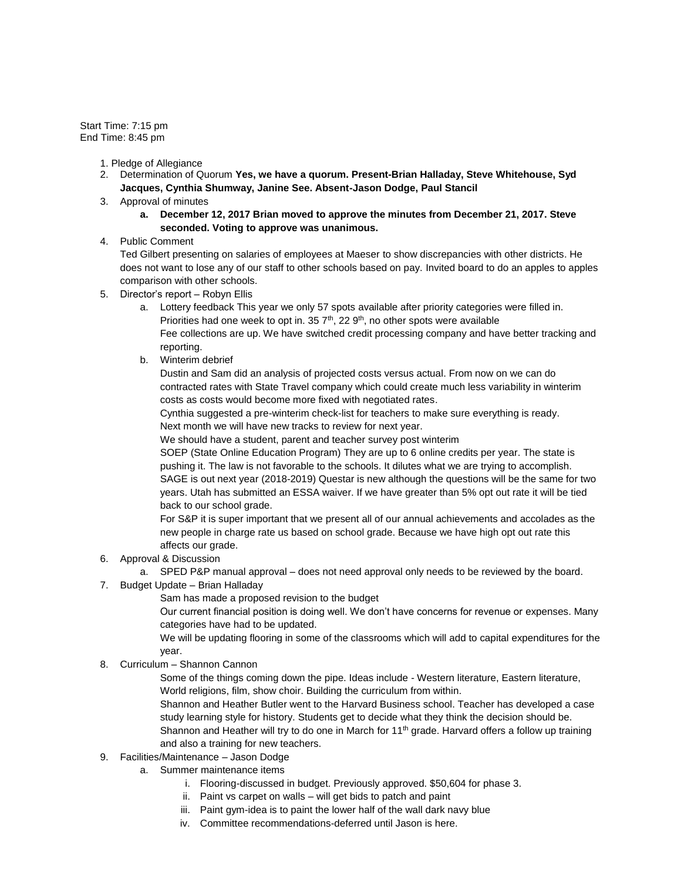Start Time: 7:15 pm End Time: 8:45 pm

- 1. Pledge of Allegiance
- 2. Determination of Quorum **Yes, we have a quorum. Present-Brian Halladay, Steve Whitehouse, Syd Jacques, Cynthia Shumway, Janine See. Absent-Jason Dodge, Paul Stancil**
- 3. Approval of minutes
	- **a. December 12, 2017 Brian moved to approve the minutes from December 21, 2017. Steve seconded. Voting to approve was unanimous.**

## 4. Public Comment

Ted Gilbert presenting on salaries of employees at Maeser to show discrepancies with other districts. He does not want to lose any of our staff to other schools based on pay. Invited board to do an apples to apples comparison with other schools.

- 5. Director's report Robyn Ellis
	- a. Lottery feedback This year we only 57 spots available after priority categories were filled in. Priorities had one week to opt in. 35  $7<sup>th</sup>$ , 22  $9<sup>th</sup>$ , no other spots were available Fee collections are up. We have switched credit processing company and have better tracking and reporting.
	- b. Winterim debrief

Dustin and Sam did an analysis of projected costs versus actual. From now on we can do contracted rates with State Travel company which could create much less variability in winterim costs as costs would become more fixed with negotiated rates.

Cynthia suggested a pre-winterim check-list for teachers to make sure everything is ready. Next month we will have new tracks to review for next year.

We should have a student, parent and teacher survey post winterim

SOEP (State Online Education Program) They are up to 6 online credits per year. The state is pushing it. The law is not favorable to the schools. It dilutes what we are trying to accomplish. SAGE is out next year (2018-2019) Questar is new although the questions will be the same for two years. Utah has submitted an ESSA waiver. If we have greater than 5% opt out rate it will be tied back to our school grade.

For S&P it is super important that we present all of our annual achievements and accolades as the new people in charge rate us based on school grade. Because we have high opt out rate this affects our grade.

- 6. Approval & Discussion
	- a. SPED P&P manual approval does not need approval only needs to be reviewed by the board.
- 7. Budget Update Brian Halladay

Sam has made a proposed revision to the budget

Our current financial position is doing well. We don't have concerns for revenue or expenses. Many categories have had to be updated.

We will be updating flooring in some of the classrooms which will add to capital expenditures for the year.

8. Curriculum – Shannon Cannon

Some of the things coming down the pipe. Ideas include - Western literature, Eastern literature, World religions, film, show choir. Building the curriculum from within.

Shannon and Heather Butler went to the Harvard Business school. Teacher has developed a case study learning style for history. Students get to decide what they think the decision should be. Shannon and Heather will try to do one in March for  $11<sup>th</sup>$  grade. Harvard offers a follow up training and also a training for new teachers.

- 9. Facilities/Maintenance Jason Dodge
	- a. Summer maintenance items
		- i. Flooring-discussed in budget. Previously approved. \$50,604 for phase 3.
		- ii. Paint vs carpet on walls will get bids to patch and paint
		- iii. Paint gym-idea is to paint the lower half of the wall dark navy blue
		- iv. Committee recommendations-deferred until Jason is here.